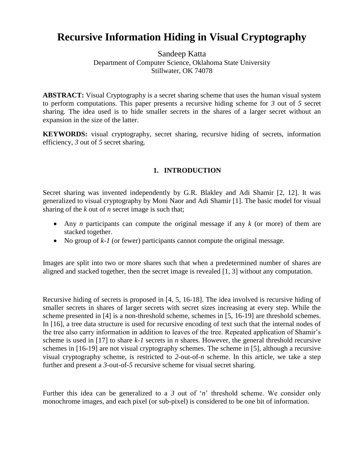# **Recursive Information Hiding in Visual Cryptography**

Sandeep Katta Department of Computer Science, Oklahoma State University Stillwater, OK 74078

**ABSTRACT:** Visual Cryptography is a secret sharing scheme that uses the human visual system to perform computations. This paper presents a recursive hiding scheme for *3* out of *5* secret sharing. The idea used is to hide smaller secrets in the shares of a larger secret without an expansion in the size of the latter.

**KEYWORDS:** visual cryptography, secret sharing, recursive hiding of secrets, information efficiency, *3* out of *5* secret sharing.

# **1. INTRODUCTION**

Secret sharing was invented independently by G.R. Blakley and Adi Shamir [2, 12]. It was generalized to visual cryptography by Moni Naor and Adi Shamir [1]. The basic model for visual sharing of the *k* out of *n* secret image is such that;

- Any *n* participants can compute the original message if any *k* (or more) of them are stacked together.
- No group of  $k-1$  (or fewer) participants cannot compute the original message.

Images are split into two or more shares such that when a predetermined number of shares are aligned and stacked together, then the secret image is revealed [1, 3] without any computation.

Recursive hiding of secrets is proposed in [4, 5, 16-18]. The idea involved is recursive hiding of smaller secrets in shares of larger secrets with secret sizes increasing at every step. While the scheme presented in [4] is a non-threshold scheme, schemes in [5, 16-19] are threshold schemes. In [16], a tree data structure is used for recursive encoding of text such that the internal nodes of the tree also carry information in addition to leaves of the tree. Repeated application of Shamir"s scheme is used in [17] to share *k-1* secrets in *n* shares. However, the general threshold recursive schemes in [16-19] are not visual cryptography schemes. The scheme in [5], although a recursive visual cryptography scheme, is restricted to *2*-out-of-*n* scheme. In this article, we take a step further and present a *3*-out-of-*5* recursive scheme for visual secret sharing.

Further this idea can be generalized to a 3 out of '*n*' threshold scheme. We consider only monochrome images, and each pixel (or sub-pixel) is considered to be one bit of information.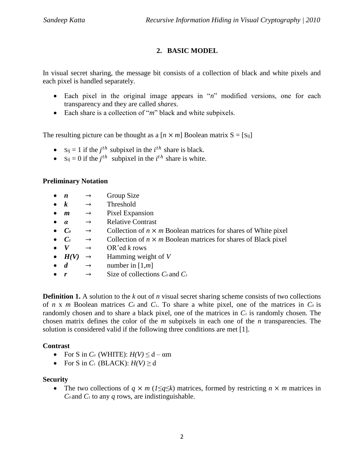# **2. BASIC MODEL**

In visual secret sharing, the message bit consists of a collection of black and white pixels and each pixel is handled separately.

- Each pixel in the original image appears in "*n*" modified versions, one for each transparency and they are called *shares*.
- Each share is a collection of "*m*" black and white subpixels.

The resulting picture can be thought as a  $[n \times m]$  Boolean matrix  $S = [S_{ij}]$ 

- S<sub>ij</sub> = 1 if the  $j<sup>th</sup>$  subpixel in the  $i<sup>th</sup>$  share is black.
- S<sub>ij</sub> = 0 if the  $j<sup>th</sup>$  subpixel in the  $i<sup>th</sup>$  share is white.

# **Preliminary Notation**

- $n \rightarrow$  Group Size
- $k \rightarrow$  Threshold
- $m \rightarrow$  Pixel Expansion
- *α* → Relative Contrast
- $C_0 \rightarrow$  Collection of  $n \times m$  Boolean matrices for shares of White pixel
- $C_1 \rightarrow$  Collection of  $n \times m$  Boolean matrices for shares of Black pixel
- $V \rightarrow OR^{\prime}$  ed *k* rows
- $H(V) \rightarrow$  Hamming weight of *V*
- $d \rightarrow$  number in [1,*m*]
- $r \rightarrow$  Size of collections  $C_0$  and  $C_1$

**Definition 1.** A solution to the *k* out of *n* visual secret sharing scheme consists of two collections of *n* x *m* Boolean matrices  $C_0$  and  $C_1$ . To share a white pixel, one of the matrices in  $C_0$  is randomly chosen and to share a black pixel, one of the matrices in *C<sup>1</sup>* is randomly chosen. The chosen matrix defines the color of the *m* subpixels in each one of the *n* transparencies. The solution is considered valid if the following three conditions are met [1].

# **Contrast**

- For S in  $C_0$  (WHITE):  $H(V) \le d \alpha m$
- For S in  $C_1$  (BLACK):  $H(V) \ge d$

# **Security**

• The two collections of  $q \times m$  ( $1 \leq q \leq k$ ) matrices, formed by restricting  $n \times m$  matrices in  $C_0$  and  $C_1$  to any *q* rows, are indistinguishable.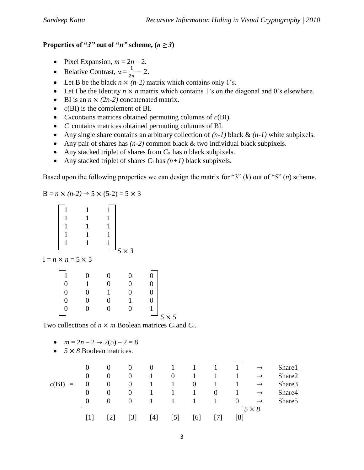# **Properties of "***3*" out of "*n*" scheme,  $(n \ge 3)$

- Pixel Expansion,  $m = 2n 2$ .
- Relative Contrast,  $\alpha = \frac{1}{2}$  $\frac{1}{2n} - 2$ .
- Exection Let B be the black  $n \times (n-2)$  matrix which contains only 1's.
- Let I be the Identity  $n \times n$  matrix which contains 1's on the diagonal and 0's elsewhere.
- $\bullet$  BI is an  $n \times (2n-2)$  concatenated matrix.
- $\bullet$   $C(BI)$  is the complement of BI.
- *C<sup>0</sup>* contains matrices obtained permuting columns of *C*(BI).
- C<sub>*i*</sub> contains matrices obtained permuting columns of BI.
- Any single share contains an arbitrary collection of  $(n-1)$  black  $\& (n-1)$  white subpixels.
- Any pair of shares has  $(n-2)$  common black  $\&$  two Individual black subpixels.
- Any stacked triplet of shares from *C<sup>0</sup>* has *n* black subpixels.
- Any stacked triplet of shares  $C<sub>1</sub>$  has  $(n+1)$  black subpixels.

Based upon the following properties we can design the matrix for "3" (*k*) out of "5" (*n*) scheme.

$$
B = n \times (n-2) \to 5 \times (5-2) = 5 \times 3
$$

|  | $5 \times 3$ |  |
|--|--------------|--|
|  |              |  |

 $I = n \times n = 5 \times 5$ 

|                |   | 0        | $\overline{0}$ | $\overline{0}$ |            |
|----------------|---|----------|----------------|----------------|------------|
| $\overline{0}$ |   | $\Omega$ | $\overline{0}$ | 0              |            |
| $\overline{0}$ |   |          | $\overline{0}$ | 0              |            |
| $\overline{0}$ |   | 0        |                | 0              |            |
| $\Omega$       | ∩ | $\Omega$ | $\overline{0}$ | $\mathbf{1}$   |            |
|                |   |          |                | $\sum$<br>◡    | $\times 5$ |

Two collections of  $n \times m$  Boolean matrices  $C_0$  and  $C_1$ .

- $m = 2n 2 \rightarrow 2(5) 2 = 8$
- *5* × *8* Boolean matrices.

| $\mathbf 0$      | O                | O                 | $\mathbf 0$ |                |          |          |                  |               | Share1             |
|------------------|------------------|-------------------|-------------|----------------|----------|----------|------------------|---------------|--------------------|
| $\boldsymbol{0}$ | $\theta$         | $\theta$          |             | $\overline{0}$ |          |          |                  | $\rightarrow$ | Share2             |
|                  | $\boldsymbol{0}$ | $\theta$          |             |                | $\theta$ |          |                  | $\rightarrow$ | Share3             |
| $\boldsymbol{0}$ | $\theta$         | $\theta$          |             |                |          | $\theta$ |                  | $\rightarrow$ | Share4             |
| $\overline{0}$   | $\theta$         | $\theta$          |             |                |          | 1        | $\boldsymbol{0}$ | $\rightarrow$ | Share <sub>5</sub> |
|                  |                  |                   |             |                |          |          |                  | $5 \times 8$  |                    |
|                  |                  | $\lceil 3 \rceil$ | 4           | ו כו           | 61       |          | [8]              |               |                    |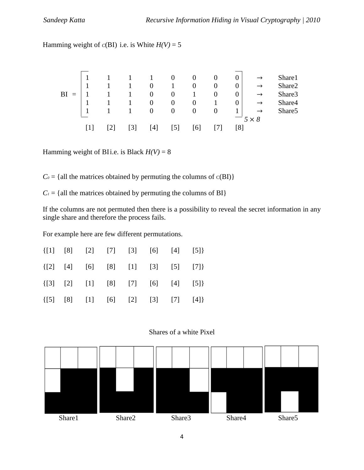Hamming weight of  $c(BI)$  i.e. is White  $H(V) = 5$ 

|    |  |              |                              | $\theta$       |          | U              | $\overline{0}$   |               | Share1             |
|----|--|--------------|------------------------------|----------------|----------|----------------|------------------|---------------|--------------------|
|    |  |              | $\overline{0}$               |                | $\theta$ | $\theta$       | $\boldsymbol{0}$ | $\rightarrow$ | Share2             |
| BI |  | $\mathbf{1}$ | $\overline{0}$               | $\overline{0}$ |          | O              | $\overline{0}$   | $\rightarrow$ | Share3             |
|    |  |              | $\overline{0}$               | $\theta$       | $\theta$ |                | $\boldsymbol{0}$ |               | Share4             |
|    |  |              | $\overline{0}$               | $\overline{0}$ | $\theta$ | $\overline{0}$ |                  |               | Share <sub>5</sub> |
|    |  |              |                              |                |          |                |                  | $5 \times 8$  |                    |
|    |  |              | $\left\lceil 4 \right\rceil$ |                | 61       |                | [8]              |               |                    |

Hamming weight of BIi.e. is Black  $H(V) = 8$ 

 $C_0 = \{$ all the matrices obtained by permuting the columns of  $C(BI)$ }

 $C_1$  = {all the matrices obtained by permuting the columns of BI}

If the columns are not permuted then there is a possibility to reveal the secret information in any single share and therefore the process fails.

For example here are few different permutations.

|  |  |  | $\{ [1] \quad [8] \quad [2] \quad [7] \quad [3] \quad [6] \quad [4] \quad [5] \}$ |
|--|--|--|-----------------------------------------------------------------------------------|
|  |  |  | $\{[2] [4] [6] [8] [1] [3] [5] [7] \}$                                            |
|  |  |  | $\{ [3] [2] [1] [8] [7] [6] [4] [5] \}$                                           |
|  |  |  | $\{ [5] [8] [1] [6] [2] [3] [7] [4] \}$                                           |



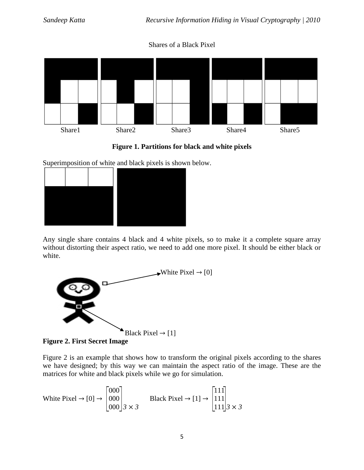# Shares of a Black Pixel





Superimposition of white and black pixels is shown below.



Any single share contains 4 black and 4 white pixels, so to make it a complete square array without distorting their aspect ratio, we need to add one more pixel. It should be either black or white.



**Figure 2. First Secret Image**

Figure 2 is an example that shows how to transform the original pixels according to the shares we have designed; by this way we can maintain the aspect ratio of the image. These are the matrices for white and black pixels while we go for simulation.

$$
\text{White Pixel} \rightarrow [0] \rightarrow \begin{bmatrix} 000\\000\\000 \end{bmatrix} 3 \times 3 \qquad \text{Black Pixel} \rightarrow [1] \rightarrow \begin{bmatrix} 111\\111\\111 \end{bmatrix} 3 \times 3
$$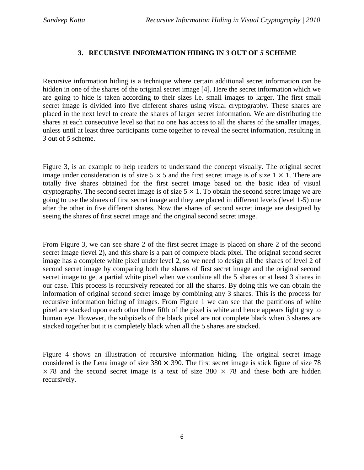# **3. RECURSIVE INFORMATION HIDING IN** *3* **OUT OF** *5* **SCHEME**

Recursive information hiding is a technique where certain additional secret information can be hidden in one of the shares of the original secret image [4]. Here the secret information which we are going to hide is taken according to their sizes i.e. small images to larger. The first small secret image is divided into five different shares using visual cryptography. These shares are placed in the next level to create the shares of larger secret information. We are distributing the shares at each consecutive level so that no one has access to all the shares of the smaller images, unless until at least three participants come together to reveal the secret information, resulting in *3* out of *5* scheme.

Figure 3, is an example to help readers to understand the concept visually. The original secret image under consideration is of size  $5 \times 5$  and the first secret image is of size  $1 \times 1$ . There are totally five shares obtained for the first secret image based on the basic idea of visual cryptography. The second secret image is of size  $5 \times 1$ . To obtain the second secret image we are going to use the shares of first secret image and they are placed in different levels (level 1-5) one after the other in five different shares. Now the shares of second secret image are designed by seeing the shares of first secret image and the original second secret image.

From Figure 3, we can see share 2 of the first secret image is placed on share 2 of the second secret image (level 2), and this share is a part of complete black pixel. The original second secret image has a complete white pixel under level 2, so we need to design all the shares of level 2 of second secret image by comparing both the shares of first secret image and the original second secret image to get a partial white pixel when we combine all the 5 shares or at least 3 shares in our case. This process is recursively repeated for all the shares. By doing this we can obtain the information of original second secret image by combining any 3 shares. This is the process for recursive information hiding of images. From Figure 1 we can see that the partitions of white pixel are stacked upon each other three fifth of the pixel is white and hence appears light gray to human eye. However, the subpixels of the black pixel are not complete black when 3 shares are stacked together but it is completely black when all the 5 shares are stacked.

Figure 4 shows an illustration of recursive information hiding. The original secret image considered is the Lena image of size  $380 \times 390$ . The first secret image is stick figure of size 78  $\times$  78 and the second secret image is a text of size 380  $\times$  78 and these both are hidden recursively.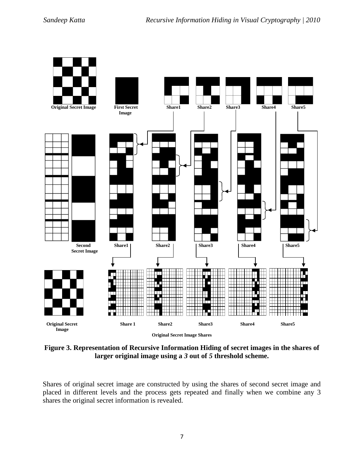

**Figure 3. Representation of Recursive Information Hiding of secret images in the shares of larger original image using a** *3* **out of** *5* **threshold scheme.**

Shares of original secret image are constructed by using the shares of second secret image and placed in different levels and the process gets repeated and finally when we combine any 3 shares the original secret information is revealed.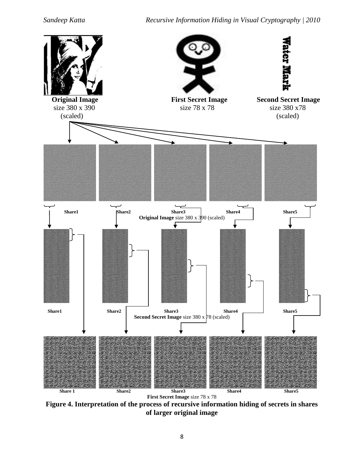

**Figure 4. Interpretation of the process of recursive information hiding of secrets in shares of larger original image**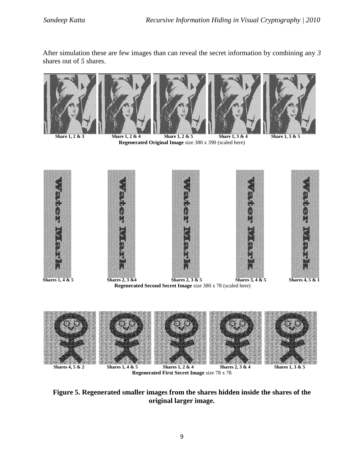After simulation these are few images than can reveal the secret information by combining any *3* shares out of *5* shares.











**Share 1, 2 & 3** Share 1, 2 & 4 Share 1, 2 & 5 Share 1, 3 & 4 Share 1, 3 & 5 **Regenerated Original Image** size 380 x 390 (scaled here)



**Regenerated Second Secret Image** size 380 x 78 (scaled here)



**Regenerated First Secret Image** size 78 x 78

**Figure 5. Regenerated smaller images from the shares hidden inside the shares of the original larger image.**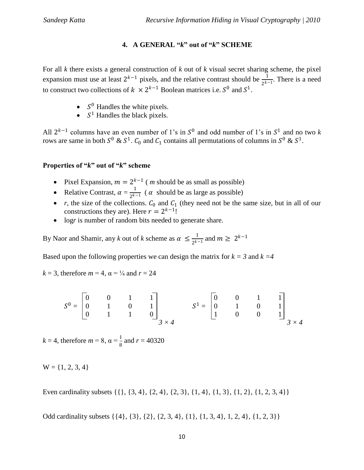## **4. A GENERAL "***k***" out of "***k***" SCHEME**

For all *k* there exists a general construction of *k* out of *k* visual secret sharing scheme, the pixel expansion must use at least  $2^{k-1}$  pixels, and the relative contrast should be  $\frac{1}{2^{k-1}}$ . There is a need to construct two collections of  $k \times 2^{k-1}$  Boolean matrices i.e.  $S^0$  and  $S^1$ .

- $S^0$  Handles the white pixels.
- $S^1$  Handles the black pixels.

All  $2^{k-1}$  columns have an even number of 1's in  $S^0$  and odd number of 1's in  $S^1$  and no two k rows are same in both  $S^0 \& S^1$ .  $C_0$  and  $C_1$  contains all permutations of columns in  $S^0 \& S^1$ .

# **Properties of "***k***" out of "***k***" scheme**

- Pixel Expansion,  $m = 2^{k-1}$  (*m* should be as small as possible)
- Relative Contrast,  $\alpha = \frac{1}{2k^2}$  $\frac{1}{2^{k-1}}$  (  $\alpha$  should be as large as possible)
- *r*, the size of the collections.  $C_0$  and  $C_1$  (they need not be the same size, but in all of our constructions they are). Here  $r = 2^{k-1}!$
- log*r* is number of random bits needed to generate share.

By Naor and Shamir, any *k* out of *k* scheme as  $\alpha \leq \frac{1}{2k^2}$  $\frac{1}{2^{k-1}}$  and  $m \geq 2^{k-1}$ 

Based upon the following properties we can design the matrix for  $k = 3$  and  $k = 4$ 

*k* = 3, therefore  $m = 4$ ,  $\alpha = \frac{1}{4}$  and  $r = 24$ 

$$
S^{0} = \begin{bmatrix} 0 & 0 & 1 & 1 \\ 0 & 1 & 0 & 1 \\ 0 & 1 & 1 & 0 \end{bmatrix} S^{1} = \begin{bmatrix} 0 & 0 & 1 & 1 \\ 0 & 1 & 0 & 1 \\ 1 & 0 & 0 & 1 \end{bmatrix} S \times 4
$$

 $k = 4$ , therefore  $m = 8$ ,  $\alpha = \frac{1}{8}$  and  $r = 40320$ 

 $W = \{1, 2, 3, 4\}$ 

Even cardinality subsets  $\{\{\}, \{3, 4\}, \{2, 4\}, \{2, 3\}, \{1, 4\}, \{1, 3\}, \{1, 2\}, \{1, 2, 3, 4\}\}\$ 

Odd cardinality subsets {{4}, {3}, {2}, {2, 3, 4}, {1}, {1, 3, 4}, 1, 2, 4}, {1, 2, 3}}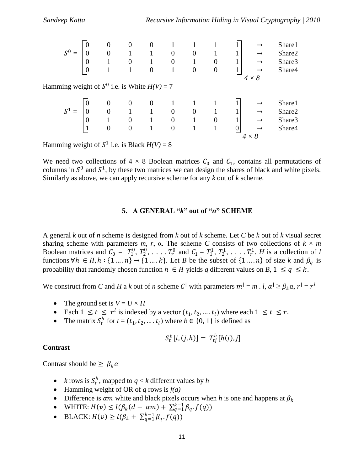|                                                  | O        | 0                |          |   |                |          |                  |   |               | Share1 |
|--------------------------------------------------|----------|------------------|----------|---|----------------|----------|------------------|---|---------------|--------|
| $S^0$ =                                          |          | $\theta$         |          |   | 0              | $\Omega$ |                  | T |               | Share2 |
|                                                  | O        |                  | 0        |   | $\overline{0}$ |          | $\boldsymbol{0}$ | 1 |               | Share3 |
|                                                  | $\theta$ |                  |          | 0 |                | $\theta$ | $\boldsymbol{0}$ | T | $\rightarrow$ | Share4 |
|                                                  |          |                  |          |   |                |          |                  |   | $4 \times 8$  |        |
| Hamming weight of $S^0$ i.e. is White $H(V) = 7$ |          |                  |          |   |                |          |                  |   |               |        |
|                                                  |          |                  |          |   |                |          |                  |   |               |        |
|                                                  |          | 0                | $\Omega$ | 0 |                |          |                  |   |               | Share1 |
| $S^1 =$                                          |          | $\overline{0}$   |          |   | $\theta$       | $\Omega$ |                  |   |               | Share2 |
|                                                  |          |                  | 0        |   | $\overline{0}$ |          | $\overline{0}$   |   |               | Share3 |
|                                                  |          | $\boldsymbol{0}$ | $\Omega$ |   | $\overline{0}$ |          |                  |   | $\rightarrow$ | Share4 |
|                                                  |          |                  |          |   |                |          |                  |   |               |        |

Hamming weight of  $S^1$  i.e. is Black  $H(V) = 8$ 

We need two collections of  $4 \times 8$  Boolean matrices  $C_0$  and  $C_1$ , contains all permutations of columns in  $S^0$  and  $S^1$ , by these two matrices we can design the shares of black and white pixels. Similarly as above, we can apply recursive scheme for any *k* out of *k* scheme.

# **5. A GENERAL "***k***" out of "***n***" SCHEME**

A general *k* out of *n* scheme is designed from *k* out of *k* scheme. Let *C* be *k* out of *k* visual secret sharing scheme with parameters  $m$ ,  $r$ ,  $\alpha$ . The scheme *C* consists of two collections of  $k \times m$ Boolean matrices and  $C_0 = T_1^0, T_2^0, \ldots, T_r^0$  and  $C_1 = T_1^1, T_2^1, \ldots, T_r^1$ . *H* is a collection of *l* functions  $\forall h \in H, h: \{1 \dots n\} \rightarrow \{1 \dots k\}$ . Let *B* be the subset of  $\{1 \dots n\}$  of size *k* and  $\beta_q$  is probability that randomly chosen function  $h \in H$  yields q different values on B,  $1 \le q \le k$ .

We construct from *C* and *H* a *k* out of *n* scheme *C*<sup> $|$ </sup> with parameters  $m^{|} = m$  . *l*,  $\alpha^{|} \geq \beta_k \alpha$ ,  $r^{|} = r^l$ 

- The ground set is  $V = U \times H$
- Each  $1 \le t \le r^l$  is indexed by a vector  $(t_1, t_2, ..., t_l)$  where each  $1 \le t \le r$ .
- The matrix  $S_t^b$  for  $t = (t_1, t_2, ..., t_l)$  where  $b \in \{0, 1\}$  is defined as

$$
S_t^b[i,(j,h)] = T_{tj}^b[h(i),j]
$$

#### **Contrast**

Contrast should be  $\geq \beta_k \alpha$ 

- *k* rows is  $S_t^b$ , mapped to  $q < k$  different values by *h*
- Hamming weight of OR of *q* rows is *f(q)*
- Difference is  $\alpha m$  white and black pixels occurs when *h* is one and happens at  $\beta_k$
- WHITE:  $H(v) \le l(\beta_k(d \alpha m) + \sum_{q=1}^{k-1} \beta_q \cdot f(q))$
- BLACK:  $H(v) \ge l(\beta_k + \sum_{q=1}^{k-1} \beta_q \cdot f(q))$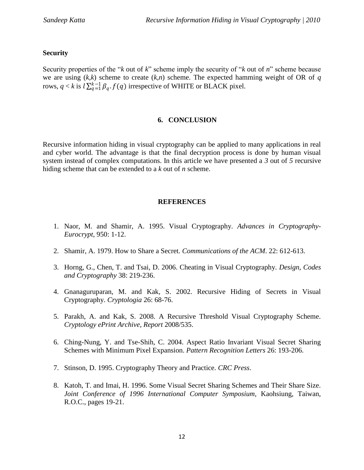## **Security**

Security properties of the "*k* out of *k*" scheme imply the security of "*k* out of *n*" scheme because we are using (*k,k*) scheme to create (*k,n*) scheme. The expected hamming weight of OR of *q* rows,  $q < k$  is  $l \sum_{q=1}^{k-1} \beta_q \cdot f(q)$  irrespective of WHITE or BLACK pixel.

#### **6. CONCLUSION**

Recursive information hiding in visual cryptography can be applied to many applications in real and cyber world. The advantage is that the final decryption process is done by human visual system instead of complex computations. In this article we have presented a *3* out of *5* recursive hiding scheme that can be extended to a *k* out of *n* scheme.

#### **REFERENCES**

- 1. Naor, M. and Shamir, A. 1995. Visual Cryptography. *Advances in Cryptography-Eurocrypt*, 950: 1-12.
- 2. Shamir, A. 1979. How to Share a Secret. *Communications of the ACM*. 22: 612-613.
- 3. Horng, G., Chen, T. and Tsai, D. 2006. Cheating in Visual Cryptography. *Design, Codes and Cryptography* 38: 219-236.
- 4. Gnanaguruparan, M. and Kak, S. 2002. Recursive Hiding of Secrets in Visual Cryptography. *Cryptologia* 26: 68-76.
- 5. Parakh, A. and Kak, S. 2008. A Recursive Threshold Visual Cryptography Scheme. *Cryptology ePrint Archive, Report* 2008/535.
- 6. Ching-Nung, Y. and Tse-Shih, C. 2004. Aspect Ratio Invariant Visual Secret Sharing Schemes with Minimum Pixel Expansion. *Pattern Recognition Letters* 26: 193-206.
- 7. Stinson, D. 1995. Cryptography Theory and Practice. *CRC Press*.
- 8. Katoh, T. and Imai, H. 1996. Some Visual Secret Sharing Schemes and Their Share Size. *Joint Conference of 1996 International Computer Symposium,* Kaohsiung, Taiwan, R.O.C., pages 19-21.